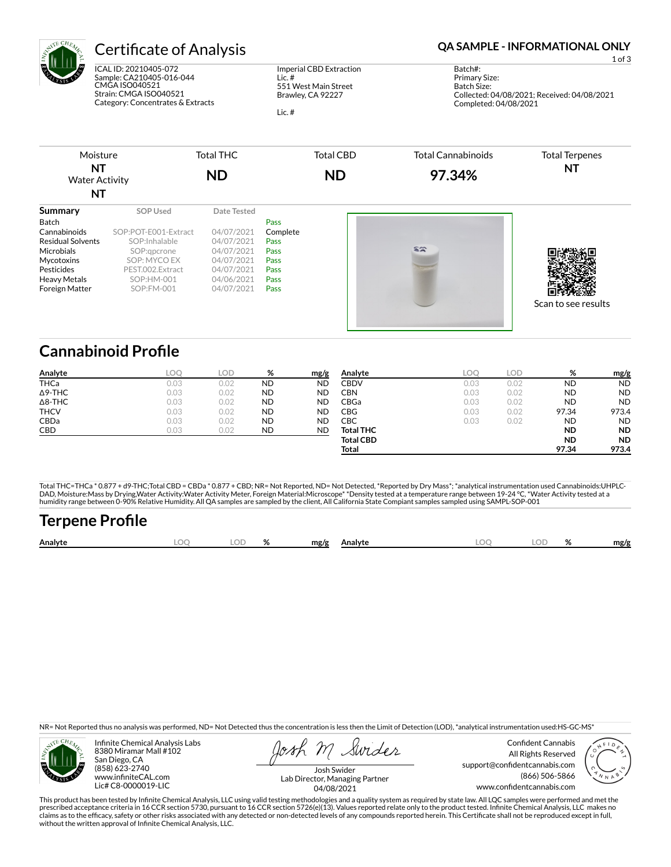

ICAL ID: 20210405-072 Sample: CA210405-016-044 CMGA ISO040521 Strain: CMGA ISO040521 Category: Concentrates & Extracts

Imperial CBD Extraction Lic. # 551 West Main Street Brawley, CA 92227

Lic. #

## Certificate of Analysis **Certificate of Analysis QA SAMPLE - INFORMATIONAL ONLY**

1 of 3

Batch#: Primary Size: Batch Size: Collected: 04/08/2021; Received: 04/08/2021 Completed: 04/08/2021



# **Cannabinoid Profile**

| Analyte        | LOO. | LOD  | %         | mg/g      | Analyte          | LOC  | LOD  | %         | mg/g      |
|----------------|------|------|-----------|-----------|------------------|------|------|-----------|-----------|
| <b>THCa</b>    | 0.03 | 0.02 | <b>ND</b> | <b>ND</b> | <b>CBDV</b>      | 0.03 | 0.02 | <b>ND</b> | <b>ND</b> |
| $\Delta$ 9-THC | 0.03 | 0.02 | <b>ND</b> | <b>ND</b> | CBN              | 0.03 | 0.02 | <b>ND</b> | <b>ND</b> |
| $\Delta$ 8-THC | 0.03 | 0.02 | <b>ND</b> | <b>ND</b> | CBGa             | 0.03 | 0.02 | <b>ND</b> | <b>ND</b> |
| <b>THCV</b>    | 0.03 | 0.02 | <b>ND</b> | <b>ND</b> | CBG              | 0.03 | 0.02 | 97.34     | 973.4     |
| <b>CBDa</b>    | 0.03 | 0.02 | <b>ND</b> | <b>ND</b> | CBC              | 0.03 | 0.02 | ND        | <b>ND</b> |
| CBD            | 0.03 | 0.02 | <b>ND</b> | <b>ND</b> | <b>Total THC</b> |      |      | <b>ND</b> | <b>ND</b> |
|                |      |      |           |           | <b>Total CBD</b> |      |      | <b>ND</b> | <b>ND</b> |
|                |      |      |           |           | Total            |      |      | 97.34     | 973.4     |

Total THC=THCa \* 0.877 + d9-THC;Total CBD = CBDa \* 0.877 + CBD; NR= Not Reported, ND= Not Detected, \*Reported by Dry Mass\*; \*analytical instrumentation used Cannabinoids:UHPLC-DAD, Moisture:Mass by Drying,Water Activity:Water Activity Meter, Foreign Material:Microscope\* \*Density tested at a temperature range between 19-24 °C, \*Water Activity tested at a<br>humidity range between 0-90% Relative Humi

# **Terpene Pro×le**

| Analyte | ገር | Оľ | u<br>$\mathbf{z}$ | mg/g | Analyte | ገር<br>∼ | Ωľ | $\mathbf{a}$<br>$\mathbf{z}$ | mg/g |
|---------|----|----|-------------------|------|---------|---------|----|------------------------------|------|
|         |    |    |                   |      |         |         |    |                              |      |

NR= Not Reported thus no analysis was performed, ND= Not Detected thus the concentration is less then the Limit of Detection (LOD), \*analytical instrumentation used:HS-GC-MS\*



Infinite Chemical Analysis Labs 8380 Miramar Mall #102 San Diego, CA (858) 623-2740 www.infiniteCAL.com Lic# C8-0000019-LIC

Swides

Confident Cannabis All Rights Reserved support@confidentcannabis.com (866) 506-5866 www.confidentcannabis.com



Josh Swider Lab Director, Managing Partner 04/08/2021

This product has been tested by Infinite Chemical Analysis, LLC using valid testing methodologies and a quality system as required by state law. All LQC samples were performed and met the prescribed acceptance criteria in 16 CCR section 5730, pursuant to 16 CCR section 5726(e)(13). Values reported relate only to the product tested. Infinite Chemical Analysis, LLC makes no<br>claims as to the efficacy, safety o without the written approval of Infinite Chemical Analysis, LLC.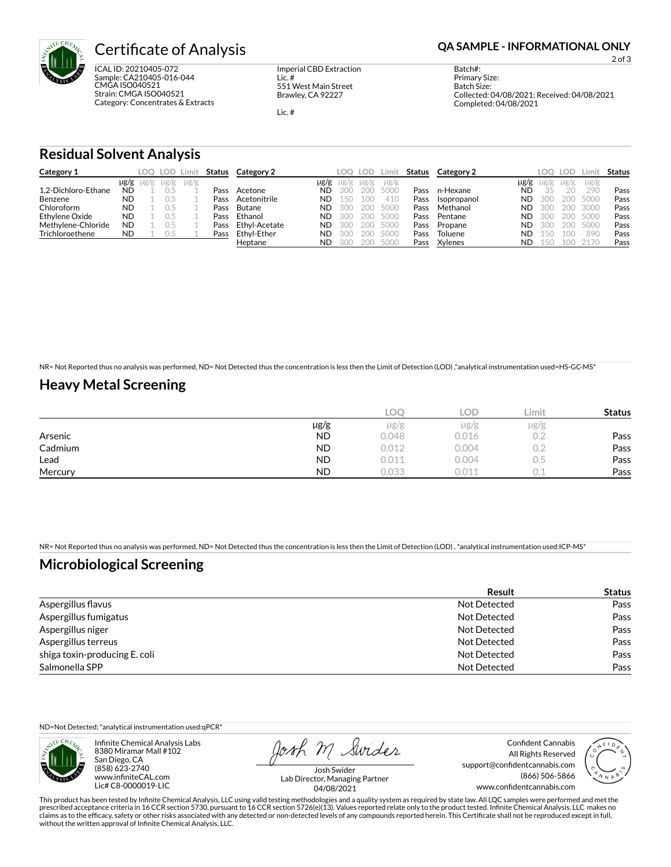

ICAL ID: 20210405-072 Sample: CA210405-016-044 CMGA ISO040521 Strain: CMGA ISO040521 Category: Concentrates & Extracts Imperial CBD Extraction Lic. # 551 West Main Street Brawley, CA 92227

Lic. #

2 of 3

Batch#: Primary Size: Batch Size: Collected: 04/08/2021; Received: 04/08/2021 Completed: 04/08/2021

### **Residual Solvent Analysis**

| Category 1          |           | LOO .               | LOD       | Limit     | Status | Category 2    |           | LOO. | LOD. | Limit     | Status | Category 2  |      | LOO. | <b>LOD</b> | Limit.    | Status |
|---------------------|-----------|---------------------|-----------|-----------|--------|---------------|-----------|------|------|-----------|--------|-------------|------|------|------------|-----------|--------|
|                     |           | $\mu$ g/g $\mu$ g/g | $\mu$ g/g | $\mu$ g/g |        |               | µg/g      | ug/g | ug/g | $\mu$ g/g |        |             | µg/g | Ug/g | $\mu$ g/g  | $\mu$ g/g |        |
| 1.2-Dichloro-Ethane | <b>ND</b> |                     |           |           | Pass   | Acetone       | ND        | 300  | 200  | 5000      | Pass   | n-Hexane    | ND   | 35   | 20         | 290       | Pass   |
| Benzene             | <b>ND</b> |                     |           |           | Pass   | Acetonitrile  | <b>ND</b> |      | 100  | 410       | Pass   | Isopropanol | ND   | 300  | 200        | 5000      | Pass   |
| Chloroform          | <b>ND</b> |                     |           |           | Pass   | Butane        | ND.       | 300  | 200  | 5000      | Pass   | Methanol    | ND   | 300  | 200        | 3000      | Pass   |
| Ethylene Oxide      | <b>ND</b> |                     |           |           | Pass   | Ethanol       | <b>ND</b> | 300  | 200  | 5000      | Pass   | Pentane     | ND   | 300  | 200        | 5000      | Pass   |
| Methylene-Chloride  | <b>ND</b> |                     |           |           | Pass   | Ethyl-Acetate | <b>ND</b> |      | 200  | 5000      | Pass   | Propane     | ND   | 300  | 200        | 5000      | Pass   |
| Trichloroethene     | <b>ND</b> |                     | U.5       |           | Pass   | Ethyl-Ether   | ND        | 300  | 200  | 5000      | Pass   | Toluene     | ND   | 150  | 1 N G      | 890       | Pass   |
|                     |           |                     |           |           |        | Heptane       | <b>ND</b> |      | 200  | 5000      | Pass   | Xylenes     | ND   | 15O  |            |           | Pass   |

NR= Not Reported thus no analysis was performed, ND= Not Detected thus the concentration is less then the Limit of Detection (LOD) ,\*analytical instrumentation used=HS-GC-MS\*

### **Heavy Metal Screening**

|         |           | LOC   | <b>LOD</b> | Limit. | <b>Status</b> |
|---------|-----------|-------|------------|--------|---------------|
|         | µg/g      | µg/g  | $\mu$ g/g  | µg/g   |               |
| Arsenic | <b>ND</b> | 0.048 | 0.016      | 0.2    | Pass          |
| Cadmium | <b>ND</b> | 0.012 | 0.004      | 0.2    | Pass          |
| Lead    | <b>ND</b> | 0.011 | 0.004      | U.5    | Pass          |
| Mercury | <b>ND</b> | 0.033 | 0.011      |        | Pass          |

NR= Not Reported thus no analysis was performed, ND= Not Detected thus the concentration is less then the Limit of Detection (LOD) , \*analytical instrumentation used:ICP-MS\*

### **Microbiological Screening**

|                               | <b>Result</b> | <b>Status</b> |
|-------------------------------|---------------|---------------|
| Aspergillus flavus            | Not Detected  | Pass          |
| Aspergillus fumigatus         | Not Detected  | Pass          |
| Aspergillus niger             | Not Detected  | Pass          |
| Aspergillus terreus           | Not Detected  | Pass          |
| shiga toxin-producing E. coli | Not Detected  | Pass          |
| Salmonella SPP                | Not Detected  | Pass          |

ND=Not Detected; \*analytical instrumentation used:qPCR\*



Infinite Chemical Analysis Labs 8380 Miramar Mall #102 San Diego, CA (858) 623-2740 www.infiniteCAL.com Lic# C8-0000019-LIC

Josh M Swider

Confident Cannabis All Rights Reserved support@confidentcannabis.com (866) 506-5866 www.confidentcannabis.com



Josh Swider Lab Director, Managing Partner 04/08/2021

This product has been tested by Infinite Chemical Analysis, LLC using valid testing methodologies and a quality system as required by state law. All LQC samples were performed and met the<br>prescribed acceptance criteria in without the written approval of Infinite Chemical Analysis, LLC.